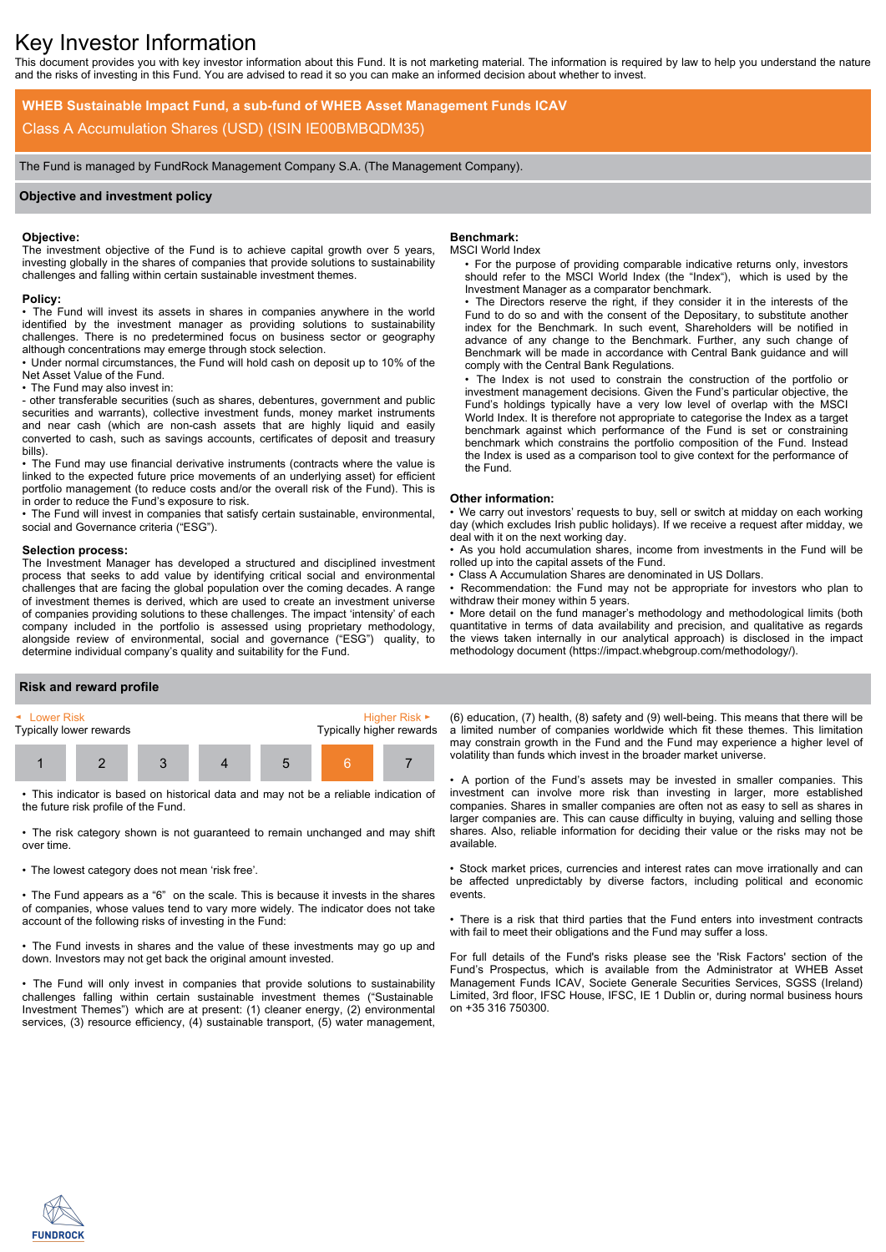# Key Investor Information

This document provides you with key investor information about this Fund. It is not marketing material. The information is required by law to help you understand the nature and the risks of investing in this Fund. You are advised to read it so you can make an informed decision about whether to invest.

**WHEB Sustainable Impact Fund, a sub-fund of WHEB Asset Management Funds ICAV** Class A Accumulation Shares (USD) (ISIN IE00BMBQDM35)

The Fund is managed by FundRock Management Company S.A. (The Management Company).

# **Objective and investment policy**

## **Objective:**

The investment objective of the Fund is to achieve capital growth over 5 years, investing globally in the shares of companies that provide solutions to sustainability challenges and falling within certain sustainable investment themes.

## **Policy:**

• The Fund will invest its assets in shares in companies anywhere in the world identified by the investment manager as providing solutions to sustainability challenges. There is no predetermined focus on business sector or geography although concentrations may emerge through stock selection.

• Under normal circumstances, the Fund will hold cash on deposit up to 10% of the Net Asset Value of the Fund.

• The Fund may also invest in:

- other transferable securities (such as shares, debentures, government and public securities and warrants), collective investment funds, money market instruments and near cash (which are non-cash assets that are highly liquid and easily converted to cash, such as savings accounts, certificates of deposit and treasury bills).

• The Fund may use financial derivative instruments (contracts where the value is linked to the expected future price movements of an underlying asset) for efficient portfolio management (to reduce costs and/or the overall risk of the Fund). This is in order to reduce the Fund's exposure to risk.

• The Fund will invest in companies that satisfy certain sustainable, environmental, social and Governance criteria ("ESG").

#### **Selection process:**

The Investment Manager has developed a structured and disciplined investment process that seeks to add value by identifying critical social and environmental challenges that are facing the global population over the coming decades. A range of investment themes is derived, which are used to create an investment universe of companies providing solutions to these challenges. The impact 'intensity' of each company included in the portfolio is assessed using proprietary methodology, alongside review of environmental, social and governance ("ESG") quality, to determine individual company's quality and suitability for the Fund.

# **Benchmark:**

## MSCI World Index

• For the purpose of providing comparable indicative returns only, investors should refer to the MSCI World Index (the "Index"), which is used by the Investment Manager as a comparator benchmark.

• The Directors reserve the right, if they consider it in the interests of the Fund to do so and with the consent of the Depositary, to substitute another index for the Benchmark. In such event, Shareholders will be notified in advance of any change to the Benchmark. Further, any such change of Benchmark will be made in accordance with Central Bank guidance and will comply with the Central Bank Regulations.

• The Index is not used to constrain the construction of the portfolio or investment management decisions. Given the Fund's particular objective, the Fund's holdings typically have a very low level of overlap with the MSCI World Index. It is therefore not appropriate to categorise the Index as a target benchmark against which performance of the Fund is set or constraining benchmark which constrains the portfolio composition of the Fund. Instead the Index is used as a comparison tool to give context for the performance of the Fund.

#### **Other information:**

• We carry out investors' requests to buy, sell or switch at midday on each working day (which excludes Irish public holidays). If we receive a request after midday, we deal with it on the next working day.

• As you hold accumulation shares, income from investments in the Fund will be rolled up into the capital assets of the Fund.

• Class A Accumulation Shares are denominated in US Dollars.

Recommendation: the Fund may not be appropriate for investors who plan to withdraw their money within 5 years.

• More detail on the fund manager's methodology and methodological limits (both quantitative in terms of data availability and precision, and qualitative as regards the views taken internally in our analytical approach) is disclosed in the impact methodology document (https://impact.whebgroup.com/methodology/).

## **Risk and reward profile**



• This indicator is based on historical data and may not be a reliable indication of the future risk profile of the Fund.

• The risk category shown is not guaranteed to remain unchanged and may shift over time.

• The lowest category does not mean 'risk free'.

• The Fund appears as a "6" on the scale. This is because it invests in the shares of companies, whose values tend to vary more widely. The indicator does not take account of the following risks of investing in the Fund:

• The Fund invests in shares and the value of these investments may go up and down. Investors may not get back the original amount invested.

• The Fund will only invest in companies that provide solutions to sustainability challenges falling within certain sustainable investment themes ("Sustainable Investment Themes") which are at present: (1) cleaner energy, (2) environmental services, (3) resource efficiency, (4) sustainable transport, (5) water management,

(6) education, (7) health, (8) safety and (9) well-being. This means that there will be a limited number of companies worldwide which fit these themes. This limitation may constrain growth in the Fund and the Fund may experience a higher level of volatility than funds which invest in the broader market universe.

• A portion of the Fund's assets may be invested in smaller companies. This investment can involve more risk than investing in larger, more established companies. Shares in smaller companies are often not as easy to sell as shares in larger companies are. This can cause difficulty in buying, valuing and selling those shares. Also, reliable information for deciding their value or the risks may not be available.

• Stock market prices, currencies and interest rates can move irrationally and can be affected unpredictably by diverse factors, including political and economic events.

• There is a risk that third parties that the Fund enters into investment contracts with fail to meet their obligations and the Fund may suffer a loss.

For full details of the Fund's risks please see the 'Risk Factors' section of the Fund's Prospectus, which is available from the Administrator at WHEB Asset Management Funds ICAV, Societe Generale Securities Services, SGSS (Ireland) Limited, 3rd floor, IFSC House, IFSC, IE 1 Dublin or, during normal business hours on +35 316 750300.